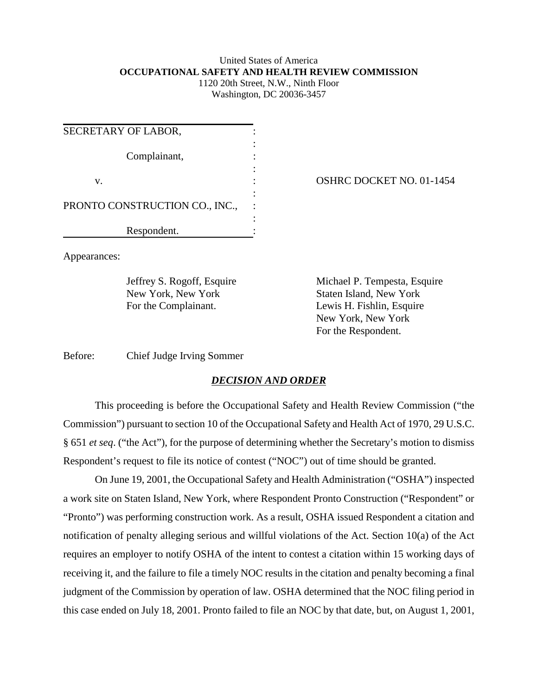## United States of America **OCCUPATIONAL SAFETY AND HEALTH REVIEW COMMISSION**

1120 20th Street, N.W., Ninth Floor Washington, DC 20036-3457

| SECRETARY OF LABOR,            |  |
|--------------------------------|--|
| Complainant,                   |  |
| v.                             |  |
| PRONTO CONSTRUCTION CO., INC., |  |
| Respondent.                    |  |

OSHRC DOCKET NO. 01-1454

Appearances:

New York, New York Staten Island, New York

Jeffrey S. Rogoff, Esquire Michael P. Tempesta, Esquire For the Complainant. Lewis H. Fishlin, Esquire New York, New York For the Respondent.

Before: Chief Judge Irving Sommer

## *DECISION AND ORDER*

This proceeding is before the Occupational Safety and Health Review Commission ("the Commission") pursuant to section 10 of the Occupational Safety and Health Act of 1970, 29 U.S.C. § 651 *et seq*. ("the Act"), for the purpose of determining whether the Secretary's motion to dismiss Respondent's request to file its notice of contest ("NOC") out of time should be granted.

On June 19, 2001, the Occupational Safety and Health Administration ("OSHA") inspected a work site on Staten Island, New York, where Respondent Pronto Construction ("Respondent" or "Pronto") was performing construction work. As a result, OSHA issued Respondent a citation and notification of penalty alleging serious and willful violations of the Act. Section 10(a) of the Act requires an employer to notify OSHA of the intent to contest a citation within 15 working days of receiving it, and the failure to file a timely NOC results in the citation and penalty becoming a final judgment of the Commission by operation of law. OSHA determined that the NOC filing period in this case ended on July 18, 2001. Pronto failed to file an NOC by that date, but, on August 1, 2001,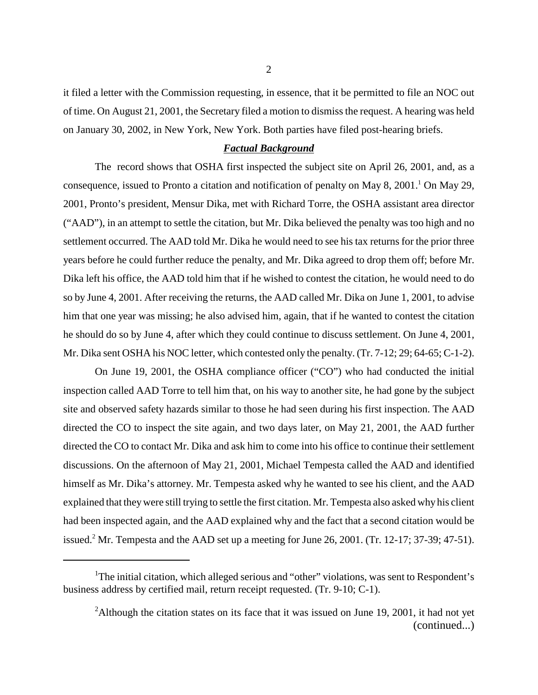it filed a letter with the Commission requesting, in essence, that it be permitted to file an NOC out of time. On August 21, 2001, the Secretary filed a motion to dismiss the request. A hearing was held on January 30, 2002, in New York, New York. Both parties have filed post-hearing briefs.

## *Factual Background*

The record shows that OSHA first inspected the subject site on April 26, 2001, and, as a consequence, issued to Pronto a citation and notification of penalty on May 8, 2001.<sup>1</sup> On May 29, 2001, Pronto's president, Mensur Dika, met with Richard Torre, the OSHA assistant area director ("AAD"), in an attempt to settle the citation, but Mr. Dika believed the penalty was too high and no settlement occurred. The AAD told Mr. Dika he would need to see his tax returns for the prior three years before he could further reduce the penalty, and Mr. Dika agreed to drop them off; before Mr. Dika left his office, the AAD told him that if he wished to contest the citation, he would need to do so by June 4, 2001. After receiving the returns, the AAD called Mr. Dika on June 1, 2001, to advise him that one year was missing; he also advised him, again, that if he wanted to contest the citation he should do so by June 4, after which they could continue to discuss settlement. On June 4, 2001, Mr. Dika sent OSHA his NOC letter, which contested only the penalty. (Tr. 7-12; 29; 64-65; C-1-2).

On June 19, 2001, the OSHA compliance officer ("CO") who had conducted the initial inspection called AAD Torre to tell him that, on his way to another site, he had gone by the subject site and observed safety hazards similar to those he had seen during his first inspection. The AAD directed the CO to inspect the site again, and two days later, on May 21, 2001, the AAD further directed the CO to contact Mr. Dika and ask him to come into his office to continue their settlement discussions. On the afternoon of May 21, 2001, Michael Tempesta called the AAD and identified himself as Mr. Dika's attorney. Mr. Tempesta asked why he wanted to see his client, and the AAD explained that they were still trying to settle the first citation. Mr. Tempesta also asked why his client had been inspected again, and the AAD explained why and the fact that a second citation would be issued.<sup>2</sup> Mr. Tempesta and the AAD set up a meeting for June 26, 2001. (Tr. 12-17; 37-39; 47-51).

<sup>&</sup>lt;sup>1</sup>The initial citation, which alleged serious and "other" violations, was sent to Respondent's business address by certified mail, return receipt requested. (Tr. 9-10; C-1).

<sup>&</sup>lt;sup>2</sup>Although the citation states on its face that it was issued on June 19, 2001, it had not yet (continued...)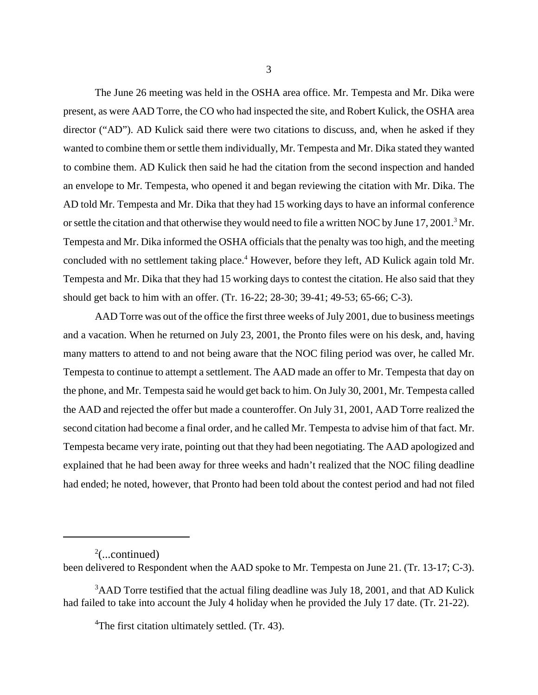The June 26 meeting was held in the OSHA area office. Mr. Tempesta and Mr. Dika were present, as were AAD Torre, the CO who had inspected the site, and Robert Kulick, the OSHA area director ("AD"). AD Kulick said there were two citations to discuss, and, when he asked if they wanted to combine them or settle them individually, Mr. Tempesta and Mr. Dika stated they wanted to combine them. AD Kulick then said he had the citation from the second inspection and handed an envelope to Mr. Tempesta, who opened it and began reviewing the citation with Mr. Dika. The AD told Mr. Tempesta and Mr. Dika that they had 15 working days to have an informal conference or settle the citation and that otherwise they would need to file a written NOC by June 17, 2001.<sup>3</sup> Mr. Tempesta and Mr. Dika informed the OSHA officials that the penalty was too high, and the meeting concluded with no settlement taking place.<sup>4</sup> However, before they left, AD Kulick again told Mr. Tempesta and Mr. Dika that they had 15 working days to contest the citation. He also said that they should get back to him with an offer. (Tr. 16-22; 28-30; 39-41; 49-53; 65-66; C-3).

AAD Torre was out of the office the first three weeks of July 2001, due to business meetings and a vacation. When he returned on July 23, 2001, the Pronto files were on his desk, and, having many matters to attend to and not being aware that the NOC filing period was over, he called Mr. Tempesta to continue to attempt a settlement. The AAD made an offer to Mr. Tempesta that day on the phone, and Mr. Tempesta said he would get back to him. On July 30, 2001, Mr. Tempesta called the AAD and rejected the offer but made a counteroffer. On July 31, 2001, AAD Torre realized the second citation had become a final order, and he called Mr. Tempesta to advise him of that fact. Mr. Tempesta became very irate, pointing out that they had been negotiating. The AAD apologized and explained that he had been away for three weeks and hadn't realized that the NOC filing deadline had ended; he noted, however, that Pronto had been told about the contest period and had not filed

 $2$ (...continued)

been delivered to Respondent when the AAD spoke to Mr. Tempesta on June 21. (Tr. 13-17; C-3).

<sup>&</sup>lt;sup>3</sup>AAD Torre testified that the actual filing deadline was July 18, 2001, and that AD Kulick had failed to take into account the July 4 holiday when he provided the July 17 date. (Tr. 21-22).

<sup>&</sup>lt;sup>4</sup>The first citation ultimately settled. (Tr. 43).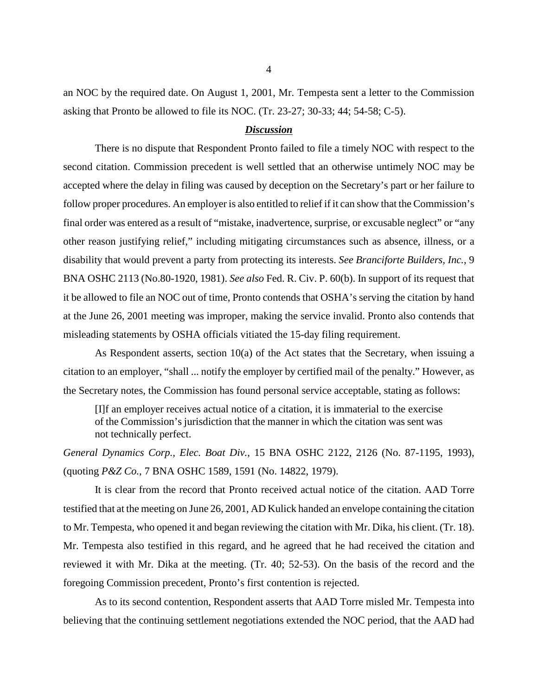an NOC by the required date. On August 1, 2001, Mr. Tempesta sent a letter to the Commission asking that Pronto be allowed to file its NOC. (Tr. 23-27; 30-33; 44; 54-58; C-5).

## *Discussion*

There is no dispute that Respondent Pronto failed to file a timely NOC with respect to the second citation. Commission precedent is well settled that an otherwise untimely NOC may be accepted where the delay in filing was caused by deception on the Secretary's part or her failure to follow proper procedures. An employer is also entitled to relief if it can show that the Commission's final order was entered as a result of "mistake, inadvertence, surprise, or excusable neglect" or "any other reason justifying relief," including mitigating circumstances such as absence, illness, or a disability that would prevent a party from protecting its interests. *See Branciforte Builders, Inc.*, 9 BNA OSHC 2113 (No.80-1920, 1981). *See also* Fed. R. Civ. P. 60(b). In support of its request that it be allowed to file an NOC out of time, Pronto contends that OSHA's serving the citation by hand at the June 26, 2001 meeting was improper, making the service invalid. Pronto also contends that misleading statements by OSHA officials vitiated the 15-day filing requirement.

As Respondent asserts, section  $10(a)$  of the Act states that the Secretary, when issuing a citation to an employer, "shall ... notify the employer by certified mail of the penalty." However, as the Secretary notes, the Commission has found personal service acceptable, stating as follows:

[I]f an employer receives actual notice of a citation, it is immaterial to the exercise of the Commission's jurisdiction that the manner in which the citation was sent was not technically perfect.

*General Dynamics Corp., Elec. Boat Div.*, 15 BNA OSHC 2122, 2126 (No. 87-1195, 1993), (quoting *P&Z Co.*, 7 BNA OSHC 1589, 1591 (No. 14822, 1979).

It is clear from the record that Pronto received actual notice of the citation. AAD Torre testified that at the meeting on June 26, 2001, AD Kulick handed an envelope containing the citation to Mr. Tempesta, who opened it and began reviewing the citation with Mr. Dika, his client. (Tr. 18). Mr. Tempesta also testified in this regard, and he agreed that he had received the citation and reviewed it with Mr. Dika at the meeting. (Tr. 40; 52-53). On the basis of the record and the foregoing Commission precedent, Pronto's first contention is rejected.

As to its second contention, Respondent asserts that AAD Torre misled Mr. Tempesta into believing that the continuing settlement negotiations extended the NOC period, that the AAD had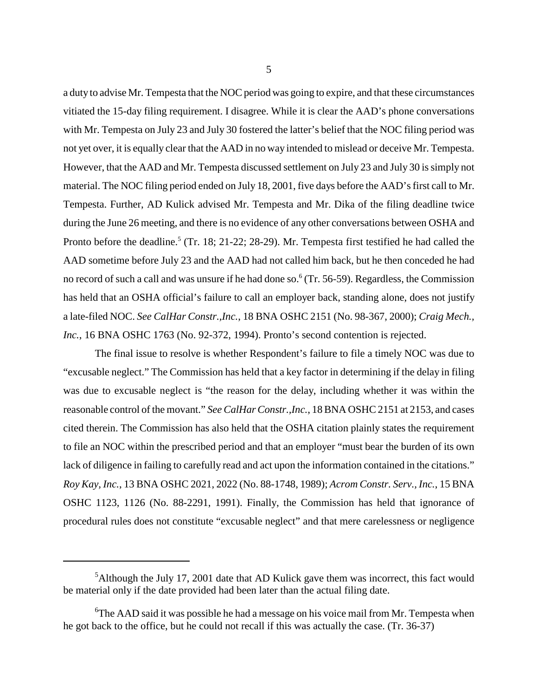a duty to advise Mr. Tempesta that the NOC period was going to expire, and that these circumstances vitiated the 15-day filing requirement. I disagree. While it is clear the AAD's phone conversations with Mr. Tempesta on July 23 and July 30 fostered the latter's belief that the NOC filing period was not yet over, it is equally clear that the AAD in no way intended to mislead or deceive Mr. Tempesta. However, that the AAD and Mr. Tempesta discussed settlement on July 23 and July 30 is simply not material. The NOC filing period ended on July 18, 2001, five days before the AAD's first call to Mr. Tempesta. Further, AD Kulick advised Mr. Tempesta and Mr. Dika of the filing deadline twice during the June 26 meeting, and there is no evidence of any other conversations between OSHA and Pronto before the deadline.<sup>5</sup> (Tr. 18; 21-22; 28-29). Mr. Tempesta first testified he had called the AAD sometime before July 23 and the AAD had not called him back, but he then conceded he had no record of such a call and was unsure if he had done so.<sup>6</sup> (Tr. 56-59). Regardless, the Commission has held that an OSHA official's failure to call an employer back, standing alone, does not justify a late-filed NOC. *See CalHar Constr.,Inc.*, 18 BNA OSHC 2151 (No. 98-367, 2000); *Craig Mech., Inc.*, 16 BNA OSHC 1763 (No. 92-372, 1994). Pronto's second contention is rejected.

The final issue to resolve is whether Respondent's failure to file a timely NOC was due to "excusable neglect." The Commission has held that a key factor in determining if the delay in filing was due to excusable neglect is "the reason for the delay, including whether it was within the reasonable control of the movant." *See CalHar Constr.,Inc.*, 18 BNA OSHC 2151 at 2153, and cases cited therein. The Commission has also held that the OSHA citation plainly states the requirement to file an NOC within the prescribed period and that an employer "must bear the burden of its own lack of diligence in failing to carefully read and act upon the information contained in the citations." *Roy Kay, Inc.*, 13 BNA OSHC 2021, 2022 (No. 88-1748, 1989); *Acrom Constr. Serv., Inc.*, 15 BNA OSHC 1123, 1126 (No. 88-2291, 1991). Finally, the Commission has held that ignorance of procedural rules does not constitute "excusable neglect" and that mere carelessness or negligence

<sup>&</sup>lt;sup>5</sup>Although the July 17, 2001 date that AD Kulick gave them was incorrect, this fact would be material only if the date provided had been later than the actual filing date.

<sup>&</sup>lt;sup>6</sup>The AAD said it was possible he had a message on his voice mail from Mr. Tempesta when he got back to the office, but he could not recall if this was actually the case. (Tr. 36-37)